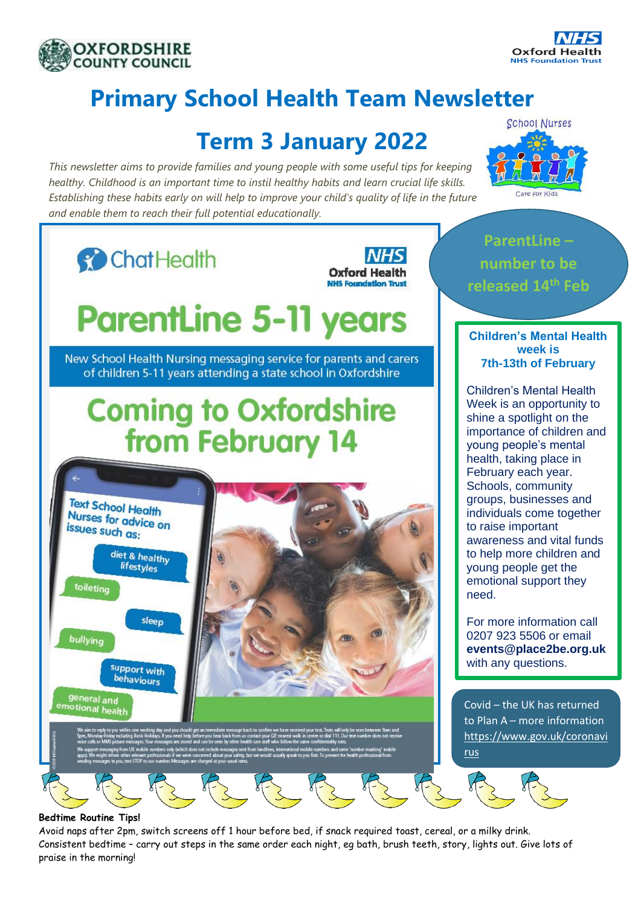



# **Primary School Health Team Newsletter**

## **Term 3 January 2022**

*This newsletter aims to provide families and young people with some useful tips for keeping healthy. Childhood is an important time to instil healthy habits and learn crucial life skills. Establishing these habits early on will help to improve your child's quality of life in the future and enable them to reach their full potential educationally.*



#### **Bedtime Routine Tips!**

Avoid naps after 2pm, switch screens off 1 hour before bed, if snack required toast, cereal, or a milky drink. Consistent bedtime – carry out steps in the same order each night, eg bath, brush teeth, story, lights out. Give lots of praise in the morning!



**ParentLine –**

Week is an opportunity to importance of children and individuals come together awareness and vital funds to help more children and

**events@place2be.org.uk**

to Plan A – more information [https://www.gov.uk/coronavi](https://www.gov.uk/coronavirus)